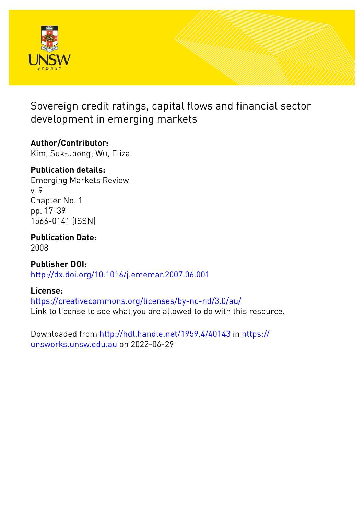

Sovereign credit ratings, capital flows and financial sector development in emerging markets

# **Author/Contributor:**

Kim, Suk-Joong; Wu, Eliza

# **Publication details:**

Emerging Markets Review v. 9 Chapter No. 1 pp. 17-39 1566-0141 (ISSN)

**Publication Date:** 2008

**Publisher DOI:** [http://dx.doi.org/10.1016/j.ememar.2007.06.001](http://dx.doi.org/http://dx.doi.org/10.1016/j.ememar.2007.06.001)

# **License:**

<https://creativecommons.org/licenses/by-nc-nd/3.0/au/> Link to license to see what you are allowed to do with this resource.

Downloaded from <http://hdl.handle.net/1959.4/40143> in [https://](https://unsworks.unsw.edu.au) [unsworks.unsw.edu.au](https://unsworks.unsw.edu.au) on 2022-06-29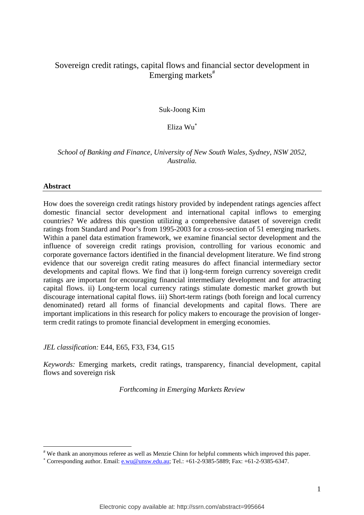### Sovereign credit ratings, capital flows and financial sector development in Emerging markets $*$

Suk-Joong Kim

Eliza Wu<sup>∗</sup>

*School of Banking and Finance, University of New South Wales, Sydney, NSW 2052, Australia.* 

#### **Abstract**

 $\overline{a}$ 

How does the sovereign credit ratings history provided by independent ratings agencies affect domestic financial sector development and international capital inflows to emerging countries? We address this question utilizing a comprehensive dataset of sovereign credit ratings from Standard and Poor's from 1995-2003 for a cross-section of 51 emerging markets. Within a panel data estimation framework, we examine financial sector development and the influence of sovereign credit ratings provision, controlling for various economic and corporate governance factors identified in the financial development literature. We find strong evidence that our sovereign credit rating measures do affect financial intermediary sector developments and capital flows. We find that i) long-term foreign currency sovereign credit ratings are important for encouraging financial intermediary development and for attracting capital flows. ii) Long-term local currency ratings stimulate domestic market growth but discourage international capital flows. iii) Short-term ratings (both foreign and local currency denominated) retard all forms of financial developments and capital flows. There are important implications in this research for policy makers to encourage the provision of longerterm credit ratings to promote financial development in emerging economies.

#### *JEL classification:* E44, E65, F33, F34, G15

*Keywords:* Emerging markets, credit ratings, transparency, financial development, capital flows and sovereign risk

*Forthcoming in Emerging Markets Review* 

<sup>#</sup> We thank an anonymous referee as well as Menzie Chinn for helpful comments which improved this paper.

<sup>\*</sup> Corresponding author. Email: *e.wu@unsw.edu.au*; Tel.: +61-2-9385-5889; Fax: +61-2-9385-6347.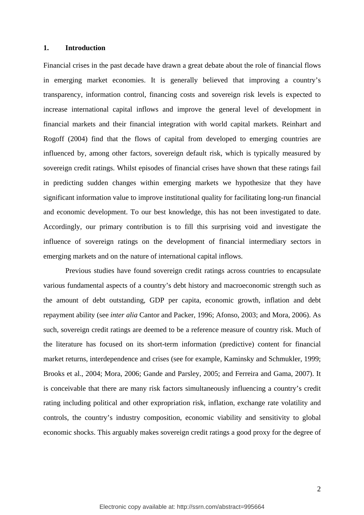#### **1. Introduction**

Financial crises in the past decade have drawn a great debate about the role of financial flows in emerging market economies. It is generally believed that improving a country's transparency, information control, financing costs and sovereign risk levels is expected to increase international capital inflows and improve the general level of development in financial markets and their financial integration with world capital markets. Reinhart and Rogoff (2004) find that the flows of capital from developed to emerging countries are influenced by, among other factors, sovereign default risk, which is typically measured by sovereign credit ratings. Whilst episodes of financial crises have shown that these ratings fail in predicting sudden changes within emerging markets we hypothesize that they have significant information value to improve institutional quality for facilitating long-run financial and economic development. To our best knowledge, this has not been investigated to date. Accordingly, our primary contribution is to fill this surprising void and investigate the influence of sovereign ratings on the development of financial intermediary sectors in emerging markets and on the nature of international capital inflows.

 Previous studies have found sovereign credit ratings across countries to encapsulate various fundamental aspects of a country's debt history and macroeconomic strength such as the amount of debt outstanding, GDP per capita, economic growth, inflation and debt repayment ability (see *inter alia* Cantor and Packer, 1996; Afonso, 2003; and Mora, 2006). As such, sovereign credit ratings are deemed to be a reference measure of country risk. Much of the literature has focused on its short-term information (predictive) content for financial market returns, interdependence and crises (see for example, Kaminsky and Schmukler, 1999; Brooks et al., 2004; Mora, 2006; Gande and Parsley, 2005; and Ferreira and Gama, 2007). It is conceivable that there are many risk factors simultaneously influencing a country's credit rating including political and other expropriation risk, inflation, exchange rate volatility and controls, the country's industry composition, economic viability and sensitivity to global economic shocks. This arguably makes sovereign credit ratings a good proxy for the degree of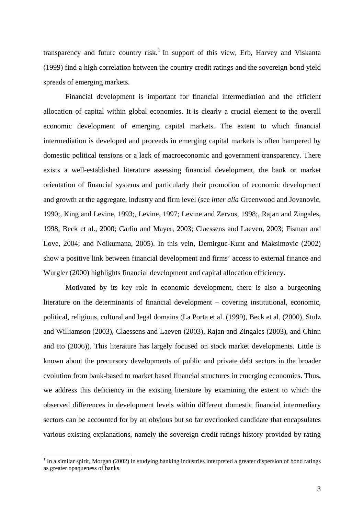transparency and future country risk.<sup>1</sup> In support of this view, Erb, Harvey and Viskanta (1999) find a high correlation between the country credit ratings and the sovereign bond yield spreads of emerging markets.

 Financial development is important for financial intermediation and the efficient allocation of capital within global economies. It is clearly a crucial element to the overall economic development of emerging capital markets. The extent to which financial intermediation is developed and proceeds in emerging capital markets is often hampered by domestic political tensions or a lack of macroeconomic and government transparency. There exists a well-established literature assessing financial development, the bank or market orientation of financial systems and particularly their promotion of economic development and growth at the aggregate, industry and firm level (see *inter alia* Greenwood and Jovanovic, 1990;, King and Levine, 1993;, Levine, 1997; Levine and Zervos, 1998;, Rajan and Zingales, 1998; Beck et al., 2000; Carlin and Mayer, 2003; Claessens and Laeven, 2003; Fisman and Love, 2004; and Ndikumana, 2005). In this vein, Demirguc-Kunt and Maksimovic (2002) show a positive link between financial development and firms' access to external finance and Wurgler (2000) highlights financial development and capital allocation efficiency.

 Motivated by its key role in economic development, there is also a burgeoning literature on the determinants of financial development – covering institutional, economic, political, religious, cultural and legal domains (La Porta et al. (1999), Beck et al. (2000), Stulz and Williamson (2003), Claessens and Laeven (2003), Rajan and Zingales (2003), and Chinn and Ito (2006)). This literature has largely focused on stock market developments. Little is known about the precursory developments of public and private debt sectors in the broader evolution from bank-based to market based financial structures in emerging economies. Thus, we address this deficiency in the existing literature by examining the extent to which the observed differences in development levels within different domestic financial intermediary sectors can be accounted for by an obvious but so far overlooked candidate that encapsulates various existing explanations, namely the sovereign credit ratings history provided by rating

 $1$  In a similar spirit, Morgan (2002) in studying banking industries interpreted a greater dispersion of bond ratings as greater opaqueness of banks.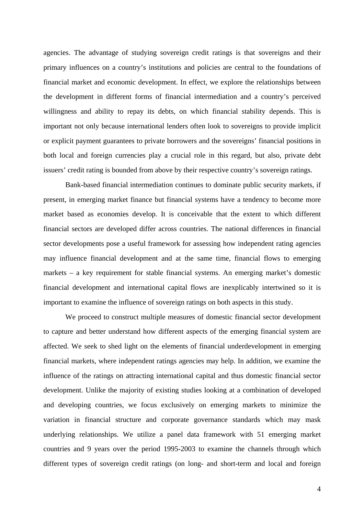agencies. The advantage of studying sovereign credit ratings is that sovereigns and their primary influences on a country's institutions and policies are central to the foundations of financial market and economic development. In effect, we explore the relationships between the development in different forms of financial intermediation and a country's perceived willingness and ability to repay its debts, on which financial stability depends. This is important not only because international lenders often look to sovereigns to provide implicit or explicit payment guarantees to private borrowers and the sovereigns' financial positions in both local and foreign currencies play a crucial role in this regard, but also, private debt issuers' credit rating is bounded from above by their respective country's sovereign ratings.

 Bank-based financial intermediation continues to dominate public security markets, if present, in emerging market finance but financial systems have a tendency to become more market based as economies develop. It is conceivable that the extent to which different financial sectors are developed differ across countries. The national differences in financial sector developments pose a useful framework for assessing how independent rating agencies may influence financial development and at the same time, financial flows to emerging markets – a key requirement for stable financial systems. An emerging market's domestic financial development and international capital flows are inexplicably intertwined so it is important to examine the influence of sovereign ratings on both aspects in this study.

 We proceed to construct multiple measures of domestic financial sector development to capture and better understand how different aspects of the emerging financial system are affected. We seek to shed light on the elements of financial underdevelopment in emerging financial markets, where independent ratings agencies may help. In addition, we examine the influence of the ratings on attracting international capital and thus domestic financial sector development. Unlike the majority of existing studies looking at a combination of developed and developing countries, we focus exclusively on emerging markets to minimize the variation in financial structure and corporate governance standards which may mask underlying relationships. We utilize a panel data framework with 51 emerging market countries and 9 years over the period 1995-2003 to examine the channels through which different types of sovereign credit ratings (on long- and short-term and local and foreign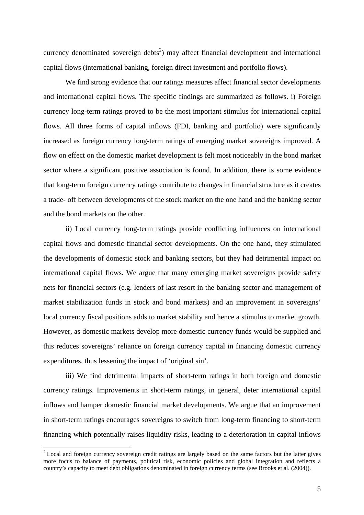currency denominated sovereign debts<sup>2</sup>) may affect financial development and international capital flows (international banking, foreign direct investment and portfolio flows).

 We find strong evidence that our ratings measures affect financial sector developments and international capital flows. The specific findings are summarized as follows. i) Foreign currency long-term ratings proved to be the most important stimulus for international capital flows. All three forms of capital inflows (FDI, banking and portfolio) were significantly increased as foreign currency long-term ratings of emerging market sovereigns improved. A flow on effect on the domestic market development is felt most noticeably in the bond market sector where a significant positive association is found. In addition, there is some evidence that long-term foreign currency ratings contribute to changes in financial structure as it creates a trade- off between developments of the stock market on the one hand and the banking sector and the bond markets on the other.

 ii) Local currency long-term ratings provide conflicting influences on international capital flows and domestic financial sector developments. On the one hand, they stimulated the developments of domestic stock and banking sectors, but they had detrimental impact on international capital flows. We argue that many emerging market sovereigns provide safety nets for financial sectors (e.g. lenders of last resort in the banking sector and management of market stabilization funds in stock and bond markets) and an improvement in sovereigns' local currency fiscal positions adds to market stability and hence a stimulus to market growth. However, as domestic markets develop more domestic currency funds would be supplied and this reduces sovereigns' reliance on foreign currency capital in financing domestic currency expenditures, thus lessening the impact of 'original sin'.

 iii) We find detrimental impacts of short-term ratings in both foreign and domestic currency ratings. Improvements in short-term ratings, in general, deter international capital inflows and hamper domestic financial market developments. We argue that an improvement in short-term ratings encourages sovereigns to switch from long-term financing to short-term financing which potentially raises liquidity risks, leading to a deterioration in capital inflows

 $2$  Local and foreign currency sovereign credit ratings are largely based on the same factors but the latter gives more focus to balance of payments, political risk, economic policies and global integration and reflects a country's capacity to meet debt obligations denominated in foreign currency terms (see Brooks et al. (2004)).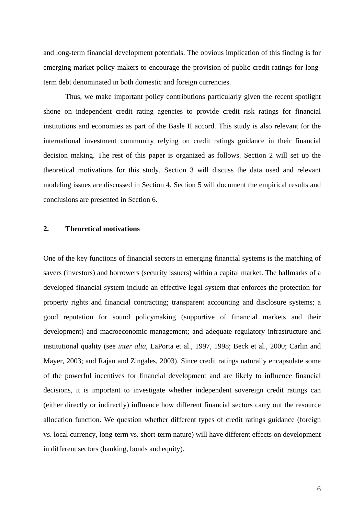and long-term financial development potentials. The obvious implication of this finding is for emerging market policy makers to encourage the provision of public credit ratings for longterm debt denominated in both domestic and foreign currencies.

 Thus, we make important policy contributions particularly given the recent spotlight shone on independent credit rating agencies to provide credit risk ratings for financial institutions and economies as part of the Basle II accord. This study is also relevant for the international investment community relying on credit ratings guidance in their financial decision making. The rest of this paper is organized as follows. Section 2 will set up the theoretical motivations for this study. Section 3 will discuss the data used and relevant modeling issues are discussed in Section 4. Section 5 will document the empirical results and conclusions are presented in Section 6.

#### **2. Theoretical motivations**

One of the key functions of financial sectors in emerging financial systems is the matching of savers (investors) and borrowers (security issuers) within a capital market. The hallmarks of a developed financial system include an effective legal system that enforces the protection for property rights and financial contracting; transparent accounting and disclosure systems; a good reputation for sound policymaking (supportive of financial markets and their development) and macroeconomic management; and adequate regulatory infrastructure and institutional quality (see *inter alia*, LaPorta et al., 1997, 1998; Beck et al., 2000; Carlin and Mayer, 2003; and Rajan and Zingales, 2003). Since credit ratings naturally encapsulate some of the powerful incentives for financial development and are likely to influence financial decisions, it is important to investigate whether independent sovereign credit ratings can (either directly or indirectly) influence how different financial sectors carry out the resource allocation function. We question whether different types of credit ratings guidance (foreign vs. local currency, long-term vs. short-term nature) will have different effects on development in different sectors (banking, bonds and equity).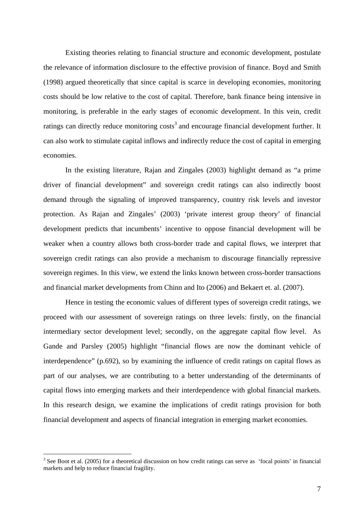Existing theories relating to financial structure and economic development, postulate the relevance of information disclosure to the effective provision of finance. Boyd and Smith (1998) argued theoretically that since capital is scarce in developing economies, monitoring costs should be low relative to the cost of capital. Therefore, bank finance being intensive in monitoring, is preferable in the early stages of economic development. In this vein, credit ratings can directly reduce monitoring costs<sup>3</sup> and encourage financial development further. It can also work to stimulate capital inflows and indirectly reduce the cost of capital in emerging economies.

 In the existing literature, Rajan and Zingales (2003) highlight demand as "a prime driver of financial development" and sovereign credit ratings can also indirectly boost demand through the signaling of improved transparency, country risk levels and investor protection. As Rajan and Zingales' (2003) 'private interest group theory' of financial development predicts that incumbents' incentive to oppose financial development will be weaker when a country allows both cross-border trade and capital flows, we interpret that sovereign credit ratings can also provide a mechanism to discourage financially repressive sovereign regimes. In this view, we extend the links known between cross-border transactions and financial market developments from Chinn and Ito (2006) and Bekaert et. al. (2007).

 Hence in testing the economic values of different types of sovereign credit ratings, we proceed with our assessment of sovereign ratings on three levels: firstly, on the financial intermediary sector development level; secondly, on the aggregate capital flow level. As Gande and Parsley (2005) highlight "financial flows are now the dominant vehicle of interdependence" (p.692), so by examining the influence of credit ratings on capital flows as part of our analyses, we are contributing to a better understanding of the determinants of capital flows into emerging markets and their interdependence with global financial markets. In this research design, we examine the implications of credit ratings provision for both financial development and aspects of financial integration in emerging market economies.

 $3$  See Boot et al. (2005) for a theoretical discussion on how credit ratings can serve as 'focal points' in financial markets and help to reduce financial fragility.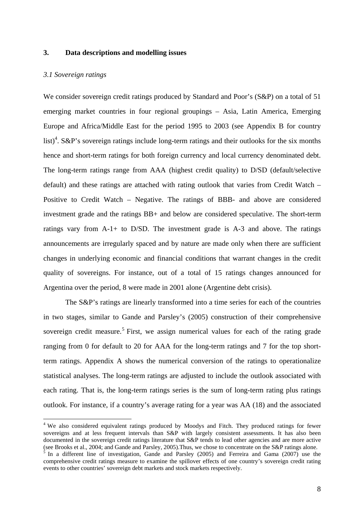#### **3. Data descriptions and modelling issues**

#### *3.1 Sovereign ratings*

 $\overline{a}$ 

We consider sovereign credit ratings produced by Standard and Poor's (S&P) on a total of 51 emerging market countries in four regional groupings – Asia, Latin America, Emerging Europe and Africa/Middle East for the period 1995 to 2003 (see Appendix B for country list)<sup>4</sup>. S&P's sovereign ratings include long-term ratings and their outlooks for the six months hence and short-term ratings for both foreign currency and local currency denominated debt. The long-term ratings range from AAA (highest credit quality) to D/SD (default/selective default) and these ratings are attached with rating outlook that varies from Credit Watch – Positive to Credit Watch – Negative. The ratings of BBB- and above are considered investment grade and the ratings BB+ and below are considered speculative. The short-term ratings vary from A-1+ to D/SD. The investment grade is A-3 and above. The ratings announcements are irregularly spaced and by nature are made only when there are sufficient changes in underlying economic and financial conditions that warrant changes in the credit quality of sovereigns. For instance, out of a total of 15 ratings changes announced for Argentina over the period, 8 were made in 2001 alone (Argentine debt crisis).

The S&P's ratings are linearly transformed into a time series for each of the countries in two stages, similar to Gande and Parsley's (2005) construction of their comprehensive sovereign credit measure.<sup>5</sup> First, we assign numerical values for each of the rating grade ranging from 0 for default to 20 for AAA for the long-term ratings and 7 for the top shortterm ratings. Appendix A shows the numerical conversion of the ratings to operationalize statistical analyses. The long-term ratings are adjusted to include the outlook associated with each rating. That is, the long-term ratings series is the sum of long-term rating plus ratings outlook. For instance, if a country's average rating for a year was AA (18) and the associated

<sup>&</sup>lt;sup>4</sup> We also considered equivalent ratings produced by Moodys and Fitch. They produced ratings for fewer sovereigns and at less frequent intervals than S&P with largely consistent assessments. It has also been documented in the sovereign credit ratings literature that S&P tends to lead other agencies and are more active<br>(see Brooks et al., 2004; and Gande and Parsley, 2005). Thus, we chose to concentrate on the S&P ratings alone

 $5$  In a different line of investigation, Gande and Parsley (2005) and Ferreira and Gama (2007) use the comprehensive credit ratings measure to examine the spillover effects of one country's sovereign credit rating events to other countries' sovereign debt markets and stock markets respectively.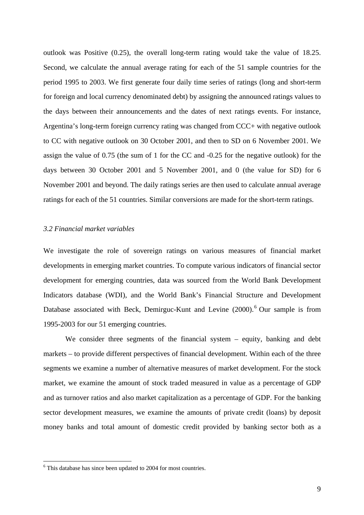outlook was Positive (0.25), the overall long-term rating would take the value of 18.25. Second, we calculate the annual average rating for each of the 51 sample countries for the period 1995 to 2003. We first generate four daily time series of ratings (long and short-term for foreign and local currency denominated debt) by assigning the announced ratings values to the days between their announcements and the dates of next ratings events. For instance, Argentina's long-term foreign currency rating was changed from CCC+ with negative outlook to CC with negative outlook on 30 October 2001, and then to SD on 6 November 2001. We assign the value of 0.75 (the sum of 1 for the CC and -0.25 for the negative outlook) for the days between 30 October 2001 and 5 November 2001, and 0 (the value for SD) for 6 November 2001 and beyond. The daily ratings series are then used to calculate annual average ratings for each of the 51 countries. Similar conversions are made for the short-term ratings.

#### *3.2 Financial market variables*

We investigate the role of sovereign ratings on various measures of financial market developments in emerging market countries. To compute various indicators of financial sector development for emerging countries, data was sourced from the World Bank Development Indicators database (WDI), and the World Bank's Financial Structure and Development Database associated with Beck, Demirguc-Kunt and Levine (2000).<sup>6</sup> Our sample is from 1995-2003 for our 51 emerging countries.

We consider three segments of the financial system – equity, banking and debt markets – to provide different perspectives of financial development. Within each of the three segments we examine a number of alternative measures of market development. For the stock market, we examine the amount of stock traded measured in value as a percentage of GDP and as turnover ratios and also market capitalization as a percentage of GDP. For the banking sector development measures, we examine the amounts of private credit (loans) by deposit money banks and total amount of domestic credit provided by banking sector both as a

 $6$  This database has since been updated to 2004 for most countries.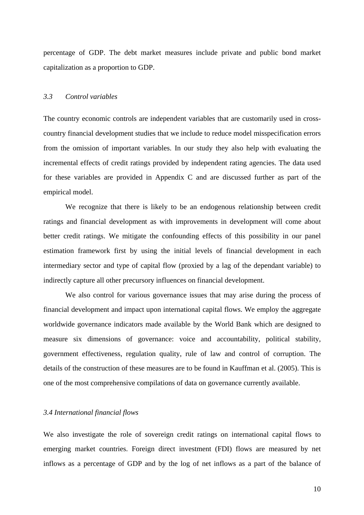percentage of GDP. The debt market measures include private and public bond market capitalization as a proportion to GDP.

#### *3.3 Control variables*

The country economic controls are independent variables that are customarily used in crosscountry financial development studies that we include to reduce model misspecification errors from the omission of important variables. In our study they also help with evaluating the incremental effects of credit ratings provided by independent rating agencies. The data used for these variables are provided in Appendix C and are discussed further as part of the empirical model.

We recognize that there is likely to be an endogenous relationship between credit ratings and financial development as with improvements in development will come about better credit ratings. We mitigate the confounding effects of this possibility in our panel estimation framework first by using the initial levels of financial development in each intermediary sector and type of capital flow (proxied by a lag of the dependant variable) to indirectly capture all other precursory influences on financial development.

 We also control for various governance issues that may arise during the process of financial development and impact upon international capital flows. We employ the aggregate worldwide governance indicators made available by the World Bank which are designed to measure six dimensions of governance: voice and accountability, political stability, government effectiveness, regulation quality, rule of law and control of corruption. The details of the construction of these measures are to be found in Kauffman et al. (2005). This is one of the most comprehensive compilations of data on governance currently available.

#### *3.4 International financial flows*

We also investigate the role of sovereign credit ratings on international capital flows to emerging market countries. Foreign direct investment (FDI) flows are measured by net inflows as a percentage of GDP and by the log of net inflows as a part of the balance of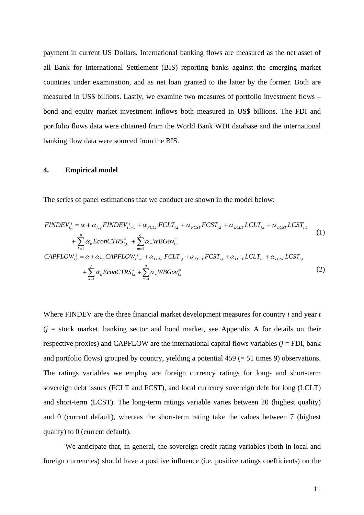payment in current US Dollars. International banking flows are measured as the net asset of all Bank for International Settlement (BIS) reporting banks against the emerging market countries under examination, and as net loan granted to the latter by the former. Both are measured in US\$ billions. Lastly, we examine two measures of portfolio investment flows – bond and equity market investment inflows both measured in US\$ billions. The FDI and portfolio flows data were obtained from the World Bank WDI database and the international banking flow data were sourced from the BIS.

#### **4. Empirical model**

The series of panel estimations that we conduct are shown in the model below:

$$
FINDEV_{i,t}^{j} = \alpha + \alpha_{lag} FINDEV_{i,t-1}^{j} + \alpha_{FCLT} FCLT_{i,t} + \alpha_{FCST} FCST_{i,t} + \alpha_{LCLT} LCLT_{i,t} + \alpha_{LCST} LCST_{i,t}
$$
\n
$$
+ \sum_{k=1}^{p} \alpha_{k}EconCTRS_{i,t}^{k} + \sum_{m=1}^{q} \alpha_{m} WBGov_{i,t}^{m}
$$
\n
$$
CAPFLOW_{i,t}^{j} = \alpha + \alpha_{lag} CAPFLOW_{i,t-1}^{j} + \alpha_{FCLT} FCLT_{i,t} + \alpha_{FCST} FCST_{i,t} + \alpha_{LCLT} LCLT_{i,t} + \alpha_{LCST} LCST_{i,t}
$$
\n
$$
+ \sum_{k=1}^{p} \alpha_{k}EconCTRS_{i,t}^{k} + \sum_{m=1}^{q} \alpha_{m} WBGov_{i,t}^{m}
$$
\n(2)

Where FINDEV are the three financial market development measures for country *i* and year *t*  $(j = stock$  market, banking sector and bond market, see Appendix A for details on their respective proxies) and CAPFLOW are the international capital flows variables  $(j = FDI)$ , bank and portfolio flows) grouped by country, yielding a potential  $459 (= 51$  times 9) observations. The ratings variables we employ are foreign currency ratings for long- and short-term sovereign debt issues (FCLT and FCST), and local currency sovereign debt for long (LCLT) and short-term (LCST). The long-term ratings variable varies between 20 (highest quality) and 0 (current default), whereas the short-term rating take the values between 7 (highest quality) to 0 (current default).

We anticipate that, in general, the sovereign credit rating variables (both in local and foreign currencies) should have a positive influence (i.e. positive ratings coefficients) on the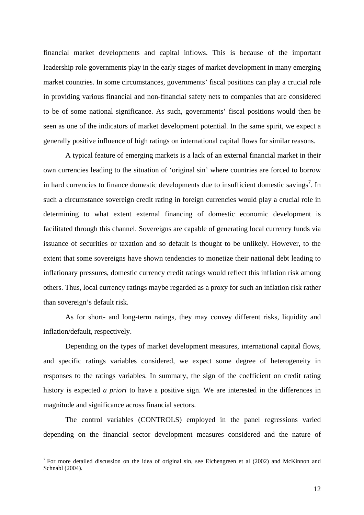financial market developments and capital inflows. This is because of the important leadership role governments play in the early stages of market development in many emerging market countries. In some circumstances, governments' fiscal positions can play a crucial role in providing various financial and non-financial safety nets to companies that are considered to be of some national significance. As such, governments' fiscal positions would then be seen as one of the indicators of market development potential. In the same spirit, we expect a generally positive influence of high ratings on international capital flows for similar reasons.

A typical feature of emerging markets is a lack of an external financial market in their own currencies leading to the situation of 'original sin' where countries are forced to borrow in hard currencies to finance domestic developments due to insufficient domestic savings<sup>7</sup>. In such a circumstance sovereign credit rating in foreign currencies would play a crucial role in determining to what extent external financing of domestic economic development is facilitated through this channel. Sovereigns are capable of generating local currency funds via issuance of securities or taxation and so default is thought to be unlikely. However, to the extent that some sovereigns have shown tendencies to monetize their national debt leading to inflationary pressures, domestic currency credit ratings would reflect this inflation risk among others. Thus, local currency ratings maybe regarded as a proxy for such an inflation risk rather than sovereign's default risk.

 As for short- and long-term ratings, they may convey different risks, liquidity and inflation/default, respectively.

Depending on the types of market development measures, international capital flows, and specific ratings variables considered, we expect some degree of heterogeneity in responses to the ratings variables. In summary, the sign of the coefficient on credit rating history is expected *a priori* to have a positive sign. We are interested in the differences in magnitude and significance across financial sectors.

The control variables (CONTROLS) employed in the panel regressions varied depending on the financial sector development measures considered and the nature of

<sup>&</sup>lt;sup>7</sup> For more detailed discussion on the idea of original sin, see Eichengreen et al (2002) and McKinnon and Schnabl (2004).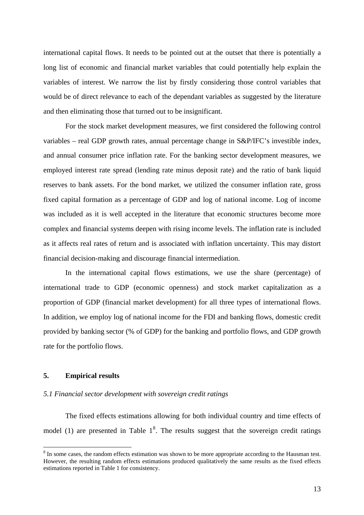international capital flows. It needs to be pointed out at the outset that there is potentially a long list of economic and financial market variables that could potentially help explain the variables of interest. We narrow the list by firstly considering those control variables that would be of direct relevance to each of the dependant variables as suggested by the literature and then eliminating those that turned out to be insignificant.

For the stock market development measures, we first considered the following control variables – real GDP growth rates, annual percentage change in S&P/IFC's investible index, and annual consumer price inflation rate. For the banking sector development measures, we employed interest rate spread (lending rate minus deposit rate) and the ratio of bank liquid reserves to bank assets. For the bond market, we utilized the consumer inflation rate, gross fixed capital formation as a percentage of GDP and log of national income. Log of income was included as it is well accepted in the literature that economic structures become more complex and financial systems deepen with rising income levels. The inflation rate is included as it affects real rates of return and is associated with inflation uncertainty. This may distort financial decision-making and discourage financial intermediation.

In the international capital flows estimations, we use the share (percentage) of international trade to GDP (economic openness) and stock market capitalization as a proportion of GDP (financial market development) for all three types of international flows. In addition, we employ log of national income for the FDI and banking flows, domestic credit provided by banking sector (% of GDP) for the banking and portfolio flows, and GDP growth rate for the portfolio flows.

#### **5. Empirical results**

 $\overline{a}$ 

#### *5.1 Financial sector development with sovereign credit ratings*

The fixed effects estimations allowing for both individual country and time effects of model (1) are presented in Table  $1<sup>8</sup>$ . The results suggest that the sovereign credit ratings

 $8 \text{ In some cases, the random effects estimation was shown to be more appropriate according to the Hausman test.}$ However, the resulting random effects estimations produced qualitatively the same results as the fixed effects estimations reported in Table 1 for consistency.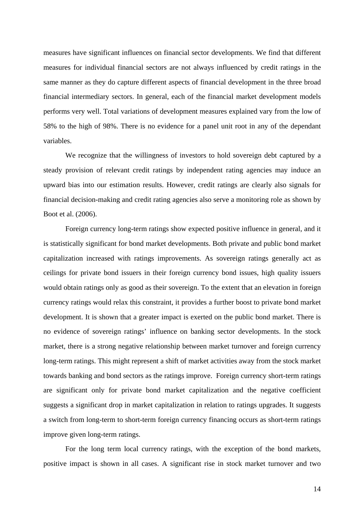measures have significant influences on financial sector developments. We find that different measures for individual financial sectors are not always influenced by credit ratings in the same manner as they do capture different aspects of financial development in the three broad financial intermediary sectors. In general, each of the financial market development models performs very well. Total variations of development measures explained vary from the low of 58% to the high of 98%. There is no evidence for a panel unit root in any of the dependant variables.

We recognize that the willingness of investors to hold sovereign debt captured by a steady provision of relevant credit ratings by independent rating agencies may induce an upward bias into our estimation results. However, credit ratings are clearly also signals for financial decision-making and credit rating agencies also serve a monitoring role as shown by Boot et al. (2006).

 Foreign currency long-term ratings show expected positive influence in general, and it is statistically significant for bond market developments. Both private and public bond market capitalization increased with ratings improvements. As sovereign ratings generally act as ceilings for private bond issuers in their foreign currency bond issues, high quality issuers would obtain ratings only as good as their sovereign. To the extent that an elevation in foreign currency ratings would relax this constraint, it provides a further boost to private bond market development. It is shown that a greater impact is exerted on the public bond market. There is no evidence of sovereign ratings' influence on banking sector developments. In the stock market, there is a strong negative relationship between market turnover and foreign currency long-term ratings. This might represent a shift of market activities away from the stock market towards banking and bond sectors as the ratings improve. Foreign currency short-term ratings are significant only for private bond market capitalization and the negative coefficient suggests a significant drop in market capitalization in relation to ratings upgrades. It suggests a switch from long-term to short-term foreign currency financing occurs as short-term ratings improve given long-term ratings.

For the long term local currency ratings, with the exception of the bond markets, positive impact is shown in all cases. A significant rise in stock market turnover and two

14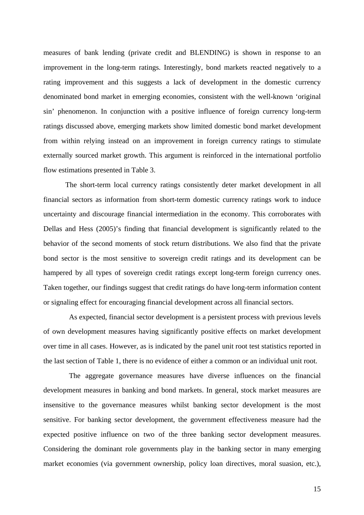measures of bank lending (private credit and BLENDING) is shown in response to an improvement in the long-term ratings. Interestingly, bond markets reacted negatively to a rating improvement and this suggests a lack of development in the domestic currency denominated bond market in emerging economies, consistent with the well-known 'original sin' phenomenon. In conjunction with a positive influence of foreign currency long-term ratings discussed above, emerging markets show limited domestic bond market development from within relying instead on an improvement in foreign currency ratings to stimulate externally sourced market growth. This argument is reinforced in the international portfolio flow estimations presented in Table 3.

The short-term local currency ratings consistently deter market development in all financial sectors as information from short-term domestic currency ratings work to induce uncertainty and discourage financial intermediation in the economy. This corroborates with Dellas and Hess (2005)'s finding that financial development is significantly related to the behavior of the second moments of stock return distributions. We also find that the private bond sector is the most sensitive to sovereign credit ratings and its development can be hampered by all types of sovereign credit ratings except long-term foreign currency ones. Taken together, our findings suggest that credit ratings do have long-term information content or signaling effect for encouraging financial development across all financial sectors.

As expected, financial sector development is a persistent process with previous levels of own development measures having significantly positive effects on market development over time in all cases. However, as is indicated by the panel unit root test statistics reported in the last section of Table 1, there is no evidence of either a common or an individual unit root.

The aggregate governance measures have diverse influences on the financial development measures in banking and bond markets. In general, stock market measures are insensitive to the governance measures whilst banking sector development is the most sensitive. For banking sector development, the government effectiveness measure had the expected positive influence on two of the three banking sector development measures. Considering the dominant role governments play in the banking sector in many emerging market economies (via government ownership, policy loan directives, moral suasion, etc.),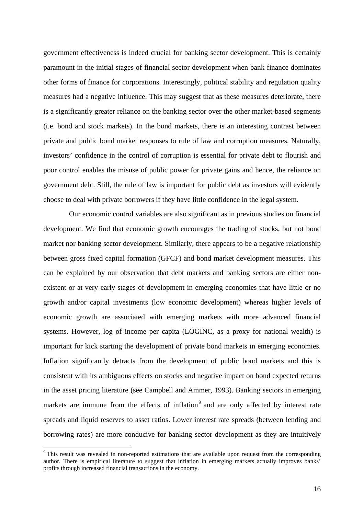government effectiveness is indeed crucial for banking sector development. This is certainly paramount in the initial stages of financial sector development when bank finance dominates other forms of finance for corporations. Interestingly, political stability and regulation quality measures had a negative influence. This may suggest that as these measures deteriorate, there is a significantly greater reliance on the banking sector over the other market-based segments (i.e. bond and stock markets). In the bond markets, there is an interesting contrast between private and public bond market responses to rule of law and corruption measures. Naturally, investors' confidence in the control of corruption is essential for private debt to flourish and poor control enables the misuse of public power for private gains and hence, the reliance on government debt. Still, the rule of law is important for public debt as investors will evidently choose to deal with private borrowers if they have little confidence in the legal system.

Our economic control variables are also significant as in previous studies on financial development. We find that economic growth encourages the trading of stocks, but not bond market nor banking sector development. Similarly, there appears to be a negative relationship between gross fixed capital formation (GFCF) and bond market development measures. This can be explained by our observation that debt markets and banking sectors are either nonexistent or at very early stages of development in emerging economies that have little or no growth and/or capital investments (low economic development) whereas higher levels of economic growth are associated with emerging markets with more advanced financial systems. However, log of income per capita (LOGINC, as a proxy for national wealth) is important for kick starting the development of private bond markets in emerging economies. Inflation significantly detracts from the development of public bond markets and this is consistent with its ambiguous effects on stocks and negative impact on bond expected returns in the asset pricing literature (see Campbell and Ammer, 1993). Banking sectors in emerging markets are immune from the effects of inflation<sup>9</sup> and are only affected by interest rate spreads and liquid reserves to asset ratios. Lower interest rate spreads (between lending and borrowing rates) are more conducive for banking sector development as they are intuitively

<sup>&</sup>lt;sup>9</sup> This result was revealed in non-reported estimations that are available upon request from the corresponding author. There is empirical literature to suggest that inflation in emerging markets actually improves banks' profits through increased financial transactions in the economy.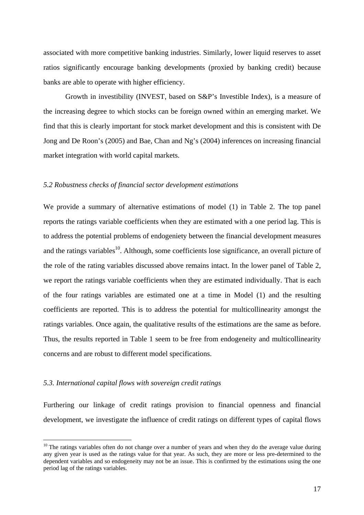associated with more competitive banking industries. Similarly, lower liquid reserves to asset ratios significantly encourage banking developments (proxied by banking credit) because banks are able to operate with higher efficiency.

Growth in investibility (INVEST, based on S&P's Investible Index), is a measure of the increasing degree to which stocks can be foreign owned within an emerging market. We find that this is clearly important for stock market development and this is consistent with De Jong and De Roon's (2005) and Bae, Chan and Ng's (2004) inferences on increasing financial market integration with world capital markets.

#### *5.2 Robustness checks of financial sector development estimations*

We provide a summary of alternative estimations of model (1) in Table 2. The top panel reports the ratings variable coefficients when they are estimated with a one period lag. This is to address the potential problems of endogeniety between the financial development measures and the ratings variables<sup>10</sup>. Although, some coefficients lose significance, an overall picture of the role of the rating variables discussed above remains intact. In the lower panel of Table 2, we report the ratings variable coefficients when they are estimated individually. That is each of the four ratings variables are estimated one at a time in Model (1) and the resulting coefficients are reported. This is to address the potential for multicollinearity amongst the ratings variables. Once again, the qualitative results of the estimations are the same as before. Thus, the results reported in Table 1 seem to be free from endogeneity and multicollinearity concerns and are robust to different model specifications.

#### *5.3. International capital flows with sovereign credit ratings*

 $\overline{a}$ 

Furthering our linkage of credit ratings provision to financial openness and financial development, we investigate the influence of credit ratings on different types of capital flows

 $10$  The ratings variables often do not change over a number of years and when they do the average value during any given year is used as the ratings value for that year. As such, they are more or less pre-determined to the dependent variables and so endogeneity may not be an issue. This is confirmed by the estimations using the one period lag of the ratings variables.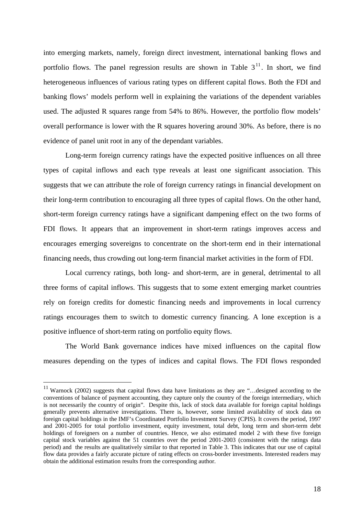into emerging markets, namely, foreign direct investment, international banking flows and portfolio flows. The panel regression results are shown in Table  $3<sup>11</sup>$ . In short, we find heterogeneous influences of various rating types on different capital flows. Both the FDI and banking flows' models perform well in explaining the variations of the dependent variables used. The adjusted R squares range from 54% to 86%. However, the portfolio flow models' overall performance is lower with the R squares hovering around 30%. As before, there is no evidence of panel unit root in any of the dependant variables.

 Long-term foreign currency ratings have the expected positive influences on all three types of capital inflows and each type reveals at least one significant association. This suggests that we can attribute the role of foreign currency ratings in financial development on their long-term contribution to encouraging all three types of capital flows. On the other hand, short-term foreign currency ratings have a significant dampening effect on the two forms of FDI flows. It appears that an improvement in short-term ratings improves access and encourages emerging sovereigns to concentrate on the short-term end in their international financing needs, thus crowding out long-term financial market activities in the form of FDI.

 Local currency ratings, both long- and short-term, are in general, detrimental to all three forms of capital inflows. This suggests that to some extent emerging market countries rely on foreign credits for domestic financing needs and improvements in local currency ratings encourages them to switch to domestic currency financing. A lone exception is a positive influence of short-term rating on portfolio equity flows.

The World Bank governance indices have mixed influences on the capital flow measures depending on the types of indices and capital flows. The FDI flows responded

<sup>&</sup>lt;sup>11</sup> Warnock (2002) suggests that capital flows data have limitations as they are "...designed according to the conventions of balance of payment accounting, they capture only the country of the foreign intermediary, which is not necessarily the country of origin". Despite this, lack of stock data available for foreign capital holdings generally prevents alternative investigations. There is, however, some limited availability of stock data on foreign capital holdings in the IMF's Coordinated Portfolio Investment Survey (CPIS). It covers the period, 1997 and 2001-2005 for total portfolio investment, equity investment, total debt, long term and short-term debt holdings of foreigners on a number of countries. Hence, we also estimated model 2 with these five foreign capital stock variables against the 51 countries over the period 2001-2003 (consistent with the ratings data period) and the results are qualitatively similar to that reported in Table 3. This indicates that our use of capital flow data provides a fairly accurate picture of rating effects on cross-border investments. Interested readers may obtain the additional estimation results from the corresponding author.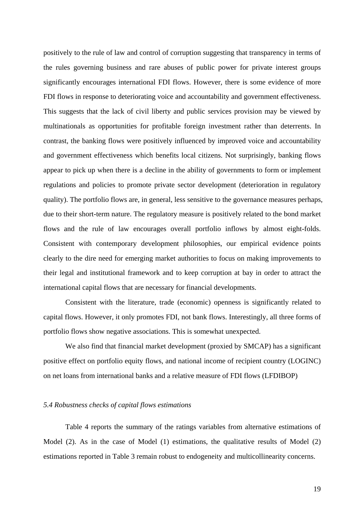positively to the rule of law and control of corruption suggesting that transparency in terms of the rules governing business and rare abuses of public power for private interest groups significantly encourages international FDI flows. However, there is some evidence of more FDI flows in response to deteriorating voice and accountability and government effectiveness. This suggests that the lack of civil liberty and public services provision may be viewed by multinationals as opportunities for profitable foreign investment rather than deterrents. In contrast, the banking flows were positively influenced by improved voice and accountability and government effectiveness which benefits local citizens. Not surprisingly, banking flows appear to pick up when there is a decline in the ability of governments to form or implement regulations and policies to promote private sector development (deterioration in regulatory quality). The portfolio flows are, in general, less sensitive to the governance measures perhaps, due to their short-term nature. The regulatory measure is positively related to the bond market flows and the rule of law encourages overall portfolio inflows by almost eight-folds. Consistent with contemporary development philosophies, our empirical evidence points clearly to the dire need for emerging market authorities to focus on making improvements to their legal and institutional framework and to keep corruption at bay in order to attract the international capital flows that are necessary for financial developments.

Consistent with the literature, trade (economic) openness is significantly related to capital flows. However, it only promotes FDI, not bank flows. Interestingly, all three forms of portfolio flows show negative associations. This is somewhat unexpected.

We also find that financial market development (proxied by SMCAP) has a significant positive effect on portfolio equity flows, and national income of recipient country (LOGINC) on net loans from international banks and a relative measure of FDI flows (LFDIBOP)

#### *5.4 Robustness checks of capital flows estimations*

Table 4 reports the summary of the ratings variables from alternative estimations of Model (2). As in the case of Model (1) estimations, the qualitative results of Model (2) estimations reported in Table 3 remain robust to endogeneity and multicollinearity concerns.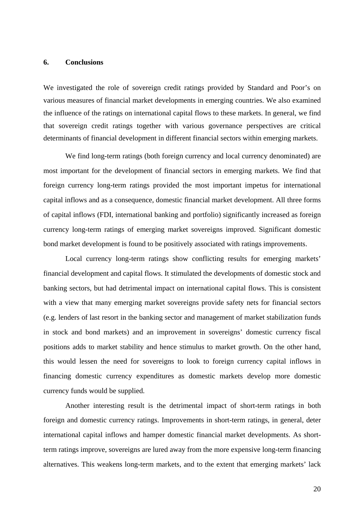#### **6. Conclusions**

We investigated the role of sovereign credit ratings provided by Standard and Poor's on various measures of financial market developments in emerging countries. We also examined the influence of the ratings on international capital flows to these markets. In general, we find that sovereign credit ratings together with various governance perspectives are critical determinants of financial development in different financial sectors within emerging markets.

 We find long-term ratings (both foreign currency and local currency denominated) are most important for the development of financial sectors in emerging markets. We find that foreign currency long-term ratings provided the most important impetus for international capital inflows and as a consequence, domestic financial market development. All three forms of capital inflows (FDI, international banking and portfolio) significantly increased as foreign currency long-term ratings of emerging market sovereigns improved. Significant domestic bond market development is found to be positively associated with ratings improvements.

Local currency long-term ratings show conflicting results for emerging markets' financial development and capital flows. It stimulated the developments of domestic stock and banking sectors, but had detrimental impact on international capital flows. This is consistent with a view that many emerging market sovereigns provide safety nets for financial sectors (e.g. lenders of last resort in the banking sector and management of market stabilization funds in stock and bond markets) and an improvement in sovereigns' domestic currency fiscal positions adds to market stability and hence stimulus to market growth. On the other hand, this would lessen the need for sovereigns to look to foreign currency capital inflows in financing domestic currency expenditures as domestic markets develop more domestic currency funds would be supplied.

Another interesting result is the detrimental impact of short-term ratings in both foreign and domestic currency ratings. Improvements in short-term ratings, in general, deter international capital inflows and hamper domestic financial market developments. As shortterm ratings improve, sovereigns are lured away from the more expensive long-term financing alternatives. This weakens long-term markets, and to the extent that emerging markets' lack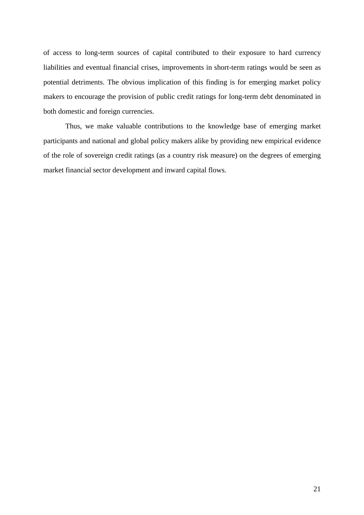of access to long-term sources of capital contributed to their exposure to hard currency liabilities and eventual financial crises, improvements in short-term ratings would be seen as potential detriments. The obvious implication of this finding is for emerging market policy makers to encourage the provision of public credit ratings for long-term debt denominated in both domestic and foreign currencies.

 Thus, we make valuable contributions to the knowledge base of emerging market participants and national and global policy makers alike by providing new empirical evidence of the role of sovereign credit ratings (as a country risk measure) on the degrees of emerging market financial sector development and inward capital flows.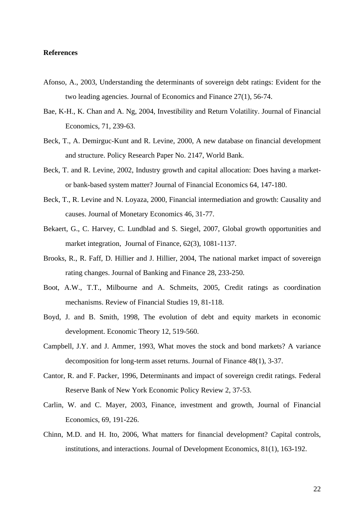#### **References**

- Afonso, A., 2003, Understanding the determinants of sovereign debt ratings: Evident for the two leading agencies. Journal of Economics and Finance 27(1), 56-74.
- Bae, K-H., K. Chan and A. Ng, 2004, Investibility and Return Volatility. Journal of Financial Economics, 71, 239-63.
- Beck, T., A. Demirguc-Kunt and R. Levine, 2000, A new database on financial development and structure. Policy Research Paper No. 2147, World Bank.
- Beck, T. and R. Levine, 2002, Industry growth and capital allocation: Does having a marketor bank-based system matter? Journal of Financial Economics 64, 147-180.
- Beck, T., R. Levine and N. Loyaza, 2000, Financial intermediation and growth: Causality and causes. Journal of Monetary Economics 46, 31-77.
- Bekaert, G., C. Harvey, C. Lundblad and S. Siegel, 2007, Global growth opportunities and market integration, Journal of Finance, 62(3), 1081-1137.
- Brooks, R., R. Faff, D. Hillier and J. Hillier, 2004, The national market impact of sovereign rating changes. Journal of Banking and Finance 28, 233-250.
- Boot, A.W., T.T., Milbourne and A. Schmeits, 2005, Credit ratings as coordination mechanisms. Review of Financial Studies 19, 81-118.
- Boyd, J. and B. Smith, 1998, The evolution of debt and equity markets in economic development. Economic Theory 12, 519-560.
- Campbell, J.Y. and J. Ammer, 1993, What moves the stock and bond markets? A variance decomposition for long-term asset returns. Journal of Finance 48(1), 3-37.
- Cantor, R. and F. Packer, 1996, Determinants and impact of sovereign credit ratings. Federal Reserve Bank of New York Economic Policy Review 2, 37-53.
- Carlin, W. and C. Mayer, 2003, Finance, investment and growth, Journal of Financial Economics, 69, 191-226.
- Chinn, M.D. and H. Ito, 2006, What matters for financial development? Capital controls, institutions, and interactions. Journal of Development Economics, 81(1), 163-192.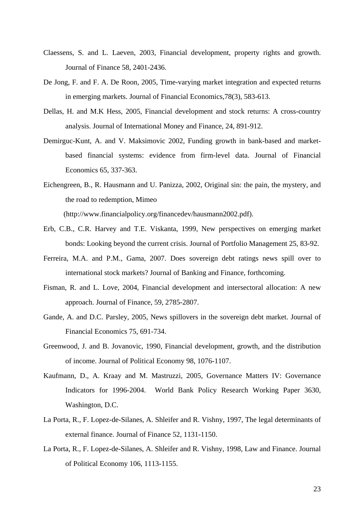- Claessens, S. and L. Laeven, 2003, Financial development, property rights and growth. Journal of Finance 58, 2401-2436.
- De Jong, F. and F. A. De Roon, 2005, Time-varying market integration and expected returns in emerging markets. Journal of Financial Economics,78(3), 583-613.
- Dellas, H. and M.K Hess, 2005, Financial development and stock returns: A cross-country analysis. Journal of International Money and Finance, 24, 891-912.
- Demirguc-Kunt, A. and V. Maksimovic 2002, Funding growth in bank-based and marketbased financial systems: evidence from firm-level data. Journal of Financial Economics 65, 337-363.
- Eichengreen, B., R. Hausmann and U. Panizza, 2002, Original sin: the pain, the mystery, and the road to redemption, Mimeo

(http://www.financialpolicy.org/financedev/hausmann2002.pdf).

- Erb, C.B., C.R. Harvey and T.E. Viskanta, 1999, New perspectives on emerging market bonds: Looking beyond the current crisis. Journal of Portfolio Management 25, 83-92.
- Ferreira, M.A. and P.M., Gama, 2007. Does sovereign debt ratings news spill over to international stock markets? Journal of Banking and Finance, forthcoming.
- Fisman, R. and L. Love, 2004, Financial development and intersectoral allocation: A new approach. Journal of Finance, 59, 2785-2807.
- Gande, A. and D.C. Parsley, 2005, News spillovers in the sovereign debt market. Journal of Financial Economics 75, 691-734.
- Greenwood, J. and B. Jovanovic, 1990, Financial development, growth, and the distribution of income. Journal of Political Economy 98, 1076-1107.
- Kaufmann, D., A. Kraay and M. Mastruzzi, 2005, Governance Matters IV: Governance Indicators for 1996-2004. World Bank Policy Research Working Paper 3630, Washington, D.C.
- La Porta, R., F. Lopez-de-Silanes, A. Shleifer and R. Vishny, 1997, The legal determinants of external finance. Journal of Finance 52, 1131-1150.
- La Porta, R., F. Lopez-de-Silanes, A. Shleifer and R. Vishny, 1998, Law and Finance. Journal of Political Economy 106, 1113-1155.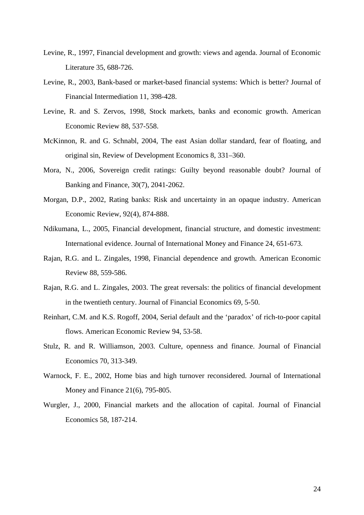- Levine, R., 1997, Financial development and growth: views and agenda. Journal of Economic Literature 35, 688-726.
- Levine, R., 2003, Bank-based or market-based financial systems: Which is better? Journal of Financial Intermediation 11, 398-428.
- Levine, R. and S. Zervos, 1998, Stock markets, banks and economic growth. American Economic Review 88, 537-558.
- McKinnon, R. and G. Schnabl, 2004, The east Asian dollar standard, fear of floating, and original sin, Review of Development Economics 8, 331–360.
- Mora, N., 2006, Sovereign credit ratings: Guilty beyond reasonable doubt? Journal of Banking and Finance, 30(7), 2041-2062.
- Morgan, D.P., 2002, Rating banks: Risk and uncertainty in an opaque industry. American Economic Review, 92(4), 874-888.
- Ndikumana, L., 2005, Financial development, financial structure, and domestic investment: International evidence. Journal of International Money and Finance 24, 651-673.
- Rajan, R.G. and L. Zingales, 1998, Financial dependence and growth. American Economic Review 88, 559-586.
- Rajan, R.G. and L. Zingales, 2003. The great reversals: the politics of financial development in the twentieth century. Journal of Financial Economics 69, 5-50.
- Reinhart, C.M. and K.S. Rogoff, 2004, Serial default and the 'paradox' of rich-to-poor capital flows. American Economic Review 94, 53-58.
- Stulz, R. and R. Williamson, 2003. Culture, openness and finance. Journal of Financial Economics 70, 313-349.
- Warnock, F. E., 2002, Home bias and high turnover reconsidered. Journal of International Money and Finance 21(6), 795-805.
- Wurgler, J., 2000, Financial markets and the allocation of capital. Journal of Financial Economics 58, 187-214.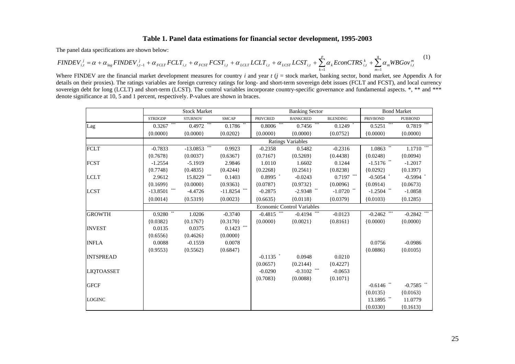#### **Table 1. Panel data estimations for financial sector development, 1995-2003**

The panel data specifications are shown below:

$$
FINDEV_{i,t}^{j} = \alpha + \alpha_{lag} FINDEV_{i,t-1}^{j} + \alpha_{FCLT} FCLT_{i,t} + \alpha_{FCST} FCST_{i,t} + \alpha_{LCLT} LCLT_{i,t} + \alpha_{LCST} LCST_{i,t} + \sum_{k=1}^{p} \alpha_{k} EconCTRS_{i,t}^{k} + \sum_{m=1}^{q} \alpha_{m} WBGov_{i,t}^{m}
$$
\n<sup>(1)</sup>

Where FINDEV are the financial market development measures for country *i* and year *t* (*j* = stock market, banking sector, bond market, see Appendix A for details on their proxies). The ratings variables are foreign currency ratings for long- and short-term sovereign debt issues (FCLT and FCST), and local currency sovereign debt for long (LCLT) and short-term (LCST). The control variables incorporate country-specific governance and fundamental aspects. \*, \*\* and \*\*\* denote significance at 10, 5 and 1 percent, respectively. P-values are shown in braces.

|                   |                | <b>Stock Market</b> |                |                         | <b>Banking Sector</b>             |                 |                 | <b>Bond Market</b>      |  |
|-------------------|----------------|---------------------|----------------|-------------------------|-----------------------------------|-----------------|-----------------|-------------------------|--|
|                   | <b>STRDGDP</b> | <b>STURNOV</b>      | <b>SMCAP</b>   | <b>PRIVCRED</b>         | <b>BANKCRED</b>                   | <b>BLENDING</b> | <b>PRIVBOND</b> | <b>PUBBOND</b>          |  |
| Lag               | ***<br>0.3267  | ***<br>0.4972       | 0.1786         | $0.8006$ <sup>***</sup> | $*$<br>0.7456                     | 0.1249          | $0.5251$ ***    | $0.7819$ <sup>***</sup> |  |
|                   | ${0.0000}$     | ${0.0000}$          | ${0.0202}$     | ${0.0000}$              | ${0.0000}$                        | ${0.0752}$      | ${0.0000}$      | ${0.0000}$              |  |
|                   |                |                     |                |                         | <b>Ratings Variables</b>          |                 |                 |                         |  |
| <b>FCLT</b>       | $-0.7833$      | $-13.0853$          | 0.9923         | $-0.2358$               | 0.5482                            | $-0.2316$       | $1.0863$ **     | $1.1710$ ***            |  |
|                   | ${0.7678}$     | ${0.0037}$          | ${0.6367}$     | ${0.7167}$              | ${0.5269}$                        | ${0.4438}$      | ${0.0248}$      | ${0.0094}$              |  |
| <b>FCST</b>       | $-1.2554$      | $-5.1919$           | 2.9846         | 1.0110                  | 1.6602                            | 0.1244          | $-1.5176$ **    | $-1.2017$               |  |
|                   | ${0.7748}$     | ${0.4835}$          | ${0.4244}$     | ${0.2268}$              | ${0.2561}$                        | ${0.8238}$      | ${0.0292}$      | ${0.1397}$              |  |
| <b>LCLT</b>       | 2.9612         | $15.8229$ ***       | 0.1403         | $0.8995$ *              | $-0.0243$                         | $0.7197$ ***    | $-0.5054$ *     | $-0.5994$ *             |  |
|                   | ${0.1699}$     | ${0.0000}$          | ${0.9363}$     | ${0.0787}$              | ${0.9732}$                        | ${0.0096}$      | ${0.0914}$      | ${0.0673}$              |  |
| <b>LCST</b>       | $-13.8501$     | $-4.4726$           | $-11.8254$ *** | $-0.2875$               | $-2.9348$ **                      | $-1.0720$ **    | $-1.2504$ **    | $-1.0858$               |  |
|                   | ${0.0014}$     | ${0.5319}$          | ${0.0023}$     | ${0.6635}$              | ${0.0118}$                        | ${0.0379}$      | ${0.0103}$      | ${0.1285}$              |  |
|                   |                |                     |                |                         | <b>Economic Control Variables</b> |                 |                 |                         |  |
| <b>GROWTH</b>     | 0.9280         | 1.0206              | $-0.3740$      | $-0.4815$               | $-0.4194$                         | $-0.0123$       | $-0.2462$       | $-0.2842$ ***           |  |
|                   | ${0.0382}$     | ${0.1767}$          | ${0.3170}$     | ${0.0000}$              | ${0.0021}$                        | ${0.8161}$      | ${0.0000}$      | ${0.0000}$              |  |
| <b>INVEST</b>     | 0.0135         | 0.0375              | $0.1423$ ***   |                         |                                   |                 |                 |                         |  |
|                   | ${0.6556}$     | ${0.4626}$          | ${0.0000}$     |                         |                                   |                 |                 |                         |  |
| <b>INFLA</b>      | 0.0088         | $-0.1559$           | 0.0078         |                         |                                   |                 | 0.0756          | $-0.0986$               |  |
|                   | ${0.9553}$     | ${0.5562}$          | ${0.6847}$     |                         |                                   |                 | ${0.0886}$      | ${0.0105}$              |  |
| <b>INTSPREAD</b>  |                |                     |                | $-0.1135$ *             | 0.0948                            | 0.0210          |                 |                         |  |
|                   |                |                     |                | ${0.0657}$              | ${0.2144}$                        | ${0.4227}$      |                 |                         |  |
| <b>LIQTOASSET</b> |                |                     |                | $-0.0290$               | $-0.3102$ ***                     | $-0.0653$       |                 |                         |  |
|                   |                |                     |                | ${0.7083}$              | ${0.0088}$                        | ${0.1071}$      |                 |                         |  |
| <b>GFCF</b>       |                |                     |                |                         |                                   |                 | $-0.6146$ **    | $-0.7585$ **            |  |
|                   |                |                     |                |                         |                                   |                 | ${0.0135}$      | ${0.0163}$              |  |
| <b>LOGINC</b>     |                |                     |                |                         |                                   |                 | 13.1895 **      | 11.0779                 |  |
|                   |                |                     |                |                         |                                   |                 | ${0.0330}$      | ${0.1613}$              |  |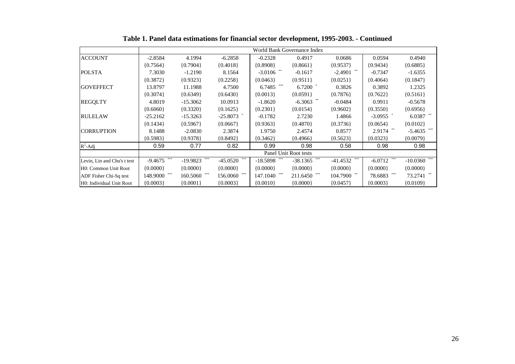|                             | World Bank Governance Index |            |                |              |                       |              |                          |                |
|-----------------------------|-----------------------------|------------|----------------|--------------|-----------------------|--------------|--------------------------|----------------|
| <b>ACCOUNT</b>              | $-2.8584$                   | 4.1994     | $-6.2858$      | $-0.2328$    | 0.4917                | 0.0686       | 0.0594                   | 0.4940         |
|                             | ${0.7564}$                  | ${0.7904}$ | ${0.4018}$     | ${0.8908}$   | ${0.8661}$            | ${0.9537}$   | ${0.9434}$               | ${0.6885}$     |
| <b>POLSTA</b>               | 7.3030                      | $-1.2190$  | 8.1564         | $-3.0106$ ** | $-0.1617$             | $-2.4901$    | $-0.7347$                | $-1.6355$      |
|                             | ${0.3872}$                  | ${0.9323}$ | ${0.2258}$     | ${0.0463}$   | ${0.9511}$            | ${0.0251}$   | ${0.4064}$               | ${0.1847}$     |
| <b>GOVEFFECT</b>            | 13.8797                     | 11.1988    | 4.7500         | 6.7485       | 6.7200                | 0.3826       | 0.3892                   | 1.2325         |
|                             | ${0.3074}$                  | ${0.6349}$ | ${0.6430}$     | ${0.0013}$   | ${0.0591}$            | ${0.7876}$   | ${0.7622}$               | ${0.5161}$     |
| <b>REGQLTY</b>              | 4.8019                      | $-15.3062$ | 10.0913        | $-1.8620$    | $-6.3063$ **          | $-0.0484$    | 0.9911                   | $-0.5678$      |
|                             | ${0.6060}$                  | ${0.3320}$ | ${0.1625}$     | ${0.2301}$   | ${0.0154}$            | ${0.9602}$   | ${0.3550}$               | ${0.6956}$     |
| <b>RULELAW</b>              | $-25.2162$                  | $-15.3263$ | $-25.8073$ *   | $-0.1782$    | 2.7230                | 1.4866       | $-3.0955$ *              | 6.0387         |
|                             | ${0.1434}$                  | ${0.5967}$ | ${0.0667}$     | ${0.9363}$   | ${0.4870}$            | ${0.3736}$   | ${0.0654}$               | ${0.0102}$     |
| <b>CORRUPTION</b>           | 8.1488                      | $-2.0830$  | 2.3874         | 1.9750       | 2.4574                | 0.8577       | $2.9174$ **              | $-5.4635$ ***  |
|                             | ${0.5983}$                  | ${0.9378}$ | ${0.8492}$     | ${0.3462}$   | ${0.4966}$            | ${0.5623}$   | ${0.0323}$               | ${0.0079}$     |
| $R^2$ -Adj                  | 0.59                        | 0.77       | 0.82           | 0.99         | 0.98                  | 0.58         | 0.98                     | 0.98           |
|                             |                             |            |                |              | Panel Unit Root tests |              |                          |                |
| Levin, Lin and Chu's t test | $-9.4675$                   | $-19.9823$ | -45.0520       | $-18.5898$   | $-38.1365$ ***        | $-41.4532$   | $-6.0712$ <sup>***</sup> | $-10.0360$ *** |
| H0: Common Unit Root        | ${0.0000}$                  | ${0.0000}$ | ${0.0000}$     | ${0.0000}$   | ${0.0000}$            | $\{0.0000\}$ | ${0.0000}$               | ${0.0000}$     |
| ADF Fisher Chi-Sq test      | 148.9000                    | 160.5060   | $156.0060$ *** | 147.1040 *** | 211.6450 ***          | 104.7900     | 78.6883                  | 73.2741        |
| H0: Individual Unit Root    | ${0.0003}$                  | ${0.0001}$ | ${0.0003}$     | ${0.0010}$   | ${0.0000}$            | ${0.0457}$   | ${0.0003}$               | ${0.0109}$     |

**Table 1. Panel data estimations for financial sector development, 1995-2003. - Continued**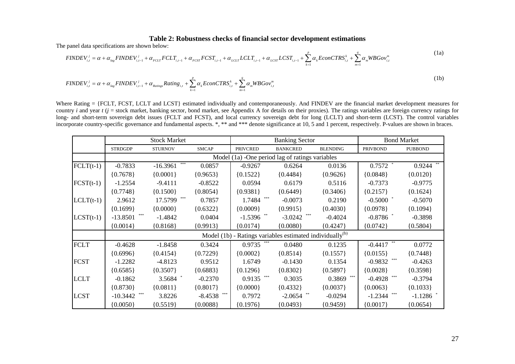#### **Table 2: Robustness checks of financial sector development estimations**

The panel data specifications are shown below:

$$
FINDEV_{i,t}^j = \alpha + \alpha_{lag}FINDEV_{i,t-1}^j + \alpha_{FCLT}FCLT_{i,t-1} + \alpha_{FCST}FCST_{i,t-1} + \alpha_{LCLT}LCLT_{i,t-1} + \alpha_{LCST}LCST_{i,t-1} + \sum_{k=1}^p \alpha_k EconCTRS_{i,t}^k + \sum_{m=1}^q \alpha_m WBGov_{i,t}^m
$$
\n(1a)

$$
FINDEV_{i,t}^{j} = \alpha + \alpha_{\text{lag}} FINDEV_{i,t-1}^{j} + \alpha_{\text{Rating}} Rating_{i,t} + \sum_{k=1}^{p} \alpha_k EconCTRS_{i,t}^{k} + \sum_{m=1}^{q} \alpha_m WBGov_{i,t}^{m}
$$
\n(1b)

Where Rating = {FCLT, FCST, LCLT and LCST} estimated individually and contemporaneously. And FINDEV are the financial market development measures for country *i* and year  $t$  ( $j$  = stock market, banking sector, bond market, see Appendix A for details on their proxies). The ratings variables are foreign currency ratings for long- and short-term sovereign debt issues (FCLT and FCST), and local currency sovereign debt for long (LCLT) and short-term (LCST). The control variables incorporate country-specific governance and fundamental aspects. \*, \*\* and \*\*\* denote significance at 10, 5 and 1 percent, respectively. P-values are shown in braces.

|                    | <b>Stock Market</b> |                |              | <b>Banking Sector</b> |                                                                |                 | <b>Bond Market</b> |                |
|--------------------|---------------------|----------------|--------------|-----------------------|----------------------------------------------------------------|-----------------|--------------------|----------------|
|                    | <b>STRDGDP</b>      | <b>STURNOV</b> | <b>SMCAP</b> | <b>PRIVCRED</b>       | <b>BANKCRED</b>                                                | <b>BLENDING</b> | <b>PRIVBOND</b>    | <b>PUBBOND</b> |
|                    |                     |                |              |                       | Model (1a) -One period lag of ratings variables                |                 |                    |                |
| $FCLT(t-1)$        | $-0.7833$           | $-16.3961$     | 0.0857       | $-0.9267$             | 0.6264                                                         | 0.0136          | $0.7572$ *         | $0.9244$ **    |
|                    | ${0.7678}$          | ${0.0001}$     | ${0.9653}$   | ${0.1522}$            | ${0.4484}$                                                     | ${0.9626}$      | ${0.0848}$         | ${0.0120}$     |
| $\text{FCST}(t-1)$ | $-1.2554$           | $-9.4111$      | $-0.8522$    | 0.0594                | 0.6179                                                         | 0.5116          | $-0.7373$          | $-0.9775$      |
|                    | ${0.7748}$          | ${0.1500}$     | ${0.8054}$   | ${0.9381}$            | ${0.6449}$                                                     | ${0.3406}$      | ${0.2157}$         | ${0.1624}$     |
| $LCLT(t-1)$        | 2.9612              | 17.5799 ***    | 0.7857       | 1.7484                | $-0.0073$                                                      | 0.2190          | $-0.5000$ *        | $-0.5070$      |
|                    | ${0.1699}$          | ${0.0000}$     | ${0.6322}$   | ${0.0009}$            | ${0.9915}$                                                     | ${0.4030}$      | ${0.0978}$         | ${0.1094}$     |
| $LCST(t-1)$        | $-13.8501$          | $-1.4842$      | 0.0404       | $-1.5396$ **          | $-3.0242$ ***                                                  | $-0.4024$       | $-0.8786$ *        | $-0.3898$      |
|                    | ${0.0014}$          | ${0.8168}$     | ${0.9913}$   | ${0.0174}$            | ${0.0080}$                                                     | ${0.4247}$      | ${0.0742}$         | ${0.5804}$     |
|                    |                     |                |              |                       | Model (1b) - Ratings variables estimated individually $^{(b)}$ |                 |                    |                |
| <b>FCLT</b>        | $-0.4628$           | $-1.8458$      | 0.3424       | 0.9735                | 0.0480                                                         | 0.1235          | $-0.4417$          | 0.0772         |
|                    | ${0.6996}$          | ${0.4154}$     | ${0.7229}$   | ${0.0002}$            | ${0.8514}$                                                     | ${0.1557}$      | ${0.0155}$         | ${0.7448}$     |
| <b>FCST</b>        | $-1.2282$           | $-4.8123$      | 0.9512       | 1.6749                | $-0.1430$                                                      | 0.1354          | $-0.9832$          | $-0.4263$      |
|                    | ${0.6585}$          | ${0.3507}$     | ${0.6883}$   | ${0.1296}$            | ${0.8302}$                                                     | ${0.5897}$      | ${0.0028}$         | ${0.3598}$     |
| <b>LCLT</b>        | $-0.1862$           | 3.5684 *       | $-0.2370$    | 0.9135                | 0.3035                                                         | 0.3869          | $-0.4928$          | $-0.3794$      |
|                    | ${0.8730}$          | ${0.0811}$     | ${0.8017}$   | ${0.0000}$            | ${0.4332}$                                                     | ${0.0037}$      | ${0.0063}$         | ${0.1033}$     |
| <b>LCST</b>        | $-10.3442$          | 3.8226         | $-8.4538$    | 0.7972                | $-2.0654$                                                      | $-0.0294$       | $-1.2344$          | $-1.1286$      |
|                    | ${0.0050}$          | ${0.5519}$     | ${0.0088}$   | ${0.1976}$            | ${0.0493}$                                                     | ${0.9459}$      | ${0.0017}$         | ${0.0654}$     |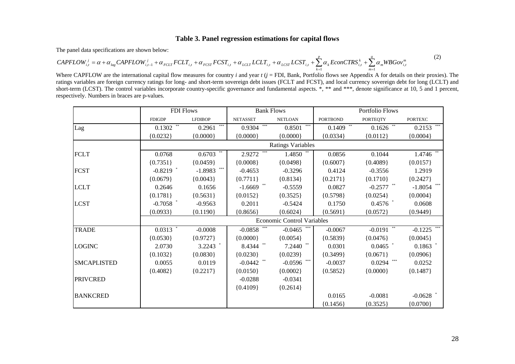#### **Table 3. Panel regression estimations for capital flows**

The panel data specifications are shown below:

$$
CAPFLOW_{i,t} = \alpha + \alpha_{lag} CAPFLOW_{i,t-1}^j + \alpha_{FCLT} FCLT_{i,t} + \alpha_{FCST} FCST_{i,t} + \alpha_{LCLT} LCLT_{i,t} + \alpha_{LCST} LCST_{i,t} + \sum_{k=1}^{p} \alpha_k EconCTRS_{i,t}^k + \sum_{m=1}^{q} \alpha_m WBGov_{i,t}^m
$$

Where CAPFLOW are the international capital flow measures for country *i* and year *t* (*j* = FDI, Bank, Portfolio flows see Appendix A for details on their proxies). The ratings variables are foreign currency ratings for long- and short-term sovereign debt issues (FCLT and FCST), and local currency sovereign debt for long (LCLT) and short-term (LCST). The control variables incorporate country-specific governance and fundamental aspects. \*, \*\* and \*\*\*, denote significance at 10, 5 and 1 percent, respectively. Numbers in braces are p-values.

|                    | <b>FDI Flows</b> |                | <b>Bank Flows</b> |                                   | Portfolio Flows        |                        |                |
|--------------------|------------------|----------------|-------------------|-----------------------------------|------------------------|------------------------|----------------|
|                    | <b>FDIGDP</b>    | <b>LFDIBOP</b> | <b>NETASSET</b>   | <b>NETLOAN</b>                    | <b>PORTBOND</b>        | <b>PORTEOTY</b>        | <b>PORTEXC</b> |
| Lag                | 家家<br>0.1302     | 0.2961         | $* * *$<br>0.9304 | 0.8501                            | $0.1409$ <sup>**</sup> | $0.1626$ <sup>**</sup> | $0.2153$ ***   |
|                    | ${0.0232}$       | ${0.0000}$     | ${0.0000}$        | ${0.0000}$                        | ${0.0334}$             | ${0.0112}$             | ${0.0004}$     |
|                    |                  |                |                   | <b>Ratings Variables</b>          |                        |                        |                |
| <b>FCLT</b>        | 0.0768           | 0.6703         | 2.9272            | 1.4850                            | 0.0856                 | 0.1044                 | $1.4746$ **    |
|                    | ${0.7351}$       | ${0.0459}$     | ${0.0008}$        | ${0.0498}$                        | ${0.6007}$             | ${0.4089}$             | ${0.0157}$     |
| <b>FCST</b>        | $-0.8219$ *      | $-1.8983$      | $-0.4653$         | $-0.3296$                         | 0.4124                 | $-0.3556$              | 1.2919         |
|                    | ${0.0679}$       | ${0.0043}$     | ${0.7711}$        | ${0.8134}$                        | ${0.2171}$             | ${0.1710}$             | ${0.2427}$     |
| <b>LCLT</b>        | 0.2646           | 0.1656         | $-1.6669$ **      | $-0.5559$                         | 0.0827                 | $-0.2577$ **           | $-1.8054$ ***  |
|                    | ${0.1781}$       | ${0.5631}$     | ${0.0152}$        | ${0.3525}$                        | ${0.5798}$             | ${0.0254}$             | ${0.0004}$     |
| <b>LCST</b>        | $-0.7058$ *      | $-0.9563$      | 0.2011            | $-0.5424$                         | 0.1750                 | $0.4576$ *             | 0.0608         |
|                    | ${0.0933}$       | ${0.1190}$     | ${0.8656}$        | ${0.6024}$                        | ${0.5691}$             | ${0.0572}$             | ${0.9449}$     |
|                    |                  |                |                   | <b>Economic Control Variables</b> |                        |                        |                |
| <b>TRADE</b>       | 0.0313           | $-0.0008$      | $-0.0858$         | $-0.0465$                         | $-0.0067$              | $-0.0191$              | $-0.1225$      |
|                    | ${0.0530}$       | ${0.9727}$     | ${0.0000}$        | ${0.0054}$                        | ${0.5839}$             | ${0.0476}$             | ${0.0045}$     |
| <b>LOGINC</b>      | 2.0730           | $3.2243$ *     | 8.4344 **         | $7.2440$ **                       | 0.0301                 | $0.0465$ *             | $0.1863$ *     |
|                    | ${0.1032}$       | ${0.0830}$     | ${0.0230}$        | ${0.0239}$                        | ${0.3499}$             | ${0.0671}$             | ${0.0906}$     |
| <b>SMCAPLISTED</b> | 0.0055           | 0.0119         | $-0.0442$ **      | $-0.0596$ ***                     | $-0.0037$              | $0.0294$ ***           | 0.0252         |
|                    | ${0.4082}$       | ${0.2217}$     | ${0.0150}$        | ${0.0002}$                        | ${0.5852}$             | ${0.0000}$             | ${0.1487}$     |
| <b>PRIVCRED</b>    |                  |                | $-0.0288$         | $-0.0341$                         |                        |                        |                |
|                    |                  |                | ${0.4109}$        | ${0.2614}$                        |                        |                        |                |
| <b>BANKCRED</b>    |                  |                |                   |                                   | 0.0165                 | $-0.0081$              | $-0.0628$ *    |
|                    |                  |                |                   |                                   | ${0.1456}$             | ${0.3525}$             | ${0.0700}$     |

(2)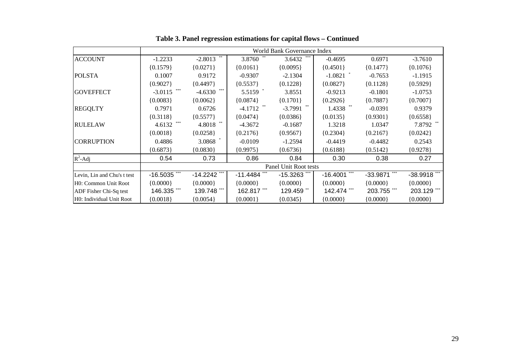|                             |                       |                |              | World Bank Governance Index |              |                |                |
|-----------------------------|-----------------------|----------------|--------------|-----------------------------|--------------|----------------|----------------|
| <b>ACCOUNT</b>              | $-1.2233$             | $-2.8013$      | 3.8760 **    | 3.6432                      | $-0.4695$    | 0.6971         | $-3.7610$      |
|                             | ${0.1579}$            | ${0.0271}$     | ${0.0161}$   | ${0.0095}$                  | ${0.4501}$   | ${0.1477}$     | ${0.1076}$     |
| <b>POLSTA</b>               | 0.1007                | 0.9172         | $-0.9307$    | $-2.1304$                   | $-1.0821$ *  | $-0.7653$      | $-1.1915$      |
|                             | ${0.9027}$            | ${0.4497}$     | ${0.5537}$   | ${0.1228}$                  | ${0.0827}$   | ${0.1128}$     | ${0.5929}$     |
| <b>GOVEFFECT</b>            | $-3.0115$             | $-4.6330$      | 5.5159 *     | 3.8551                      | $-0.9213$    | $-0.1801$      | $-1.0753$      |
|                             | ${0.0083}$            | ${0.0062}$     | ${0.0874}$   | ${0.1701}$                  | ${0.2926}$   | ${0.7887}$     | ${0.7007}$     |
| <b>REGQLTY</b>              | 0.7971                | 0.6726         | $-4.1712$ ** | $-3.7991$                   | $1.4338$ **  | $-0.0391$      | 0.9379         |
|                             | ${0.3118}$            | ${0.5577}$     | ${0.0474}$   | ${0.0386}$                  | ${0.0135}$   | ${0.9301}$     | ${0.6558}$     |
| <b>RULELAW</b>              | 4.6132 ***            | 4.8018         | $-4.3672$    | $-0.1687$                   | 1.3218       | 1.0347         | 7.8792 **      |
|                             | ${0.0018}$            | ${0.0258}$     | ${0.2176}$   | ${0.9567}$                  | ${0.2304}$   | ${0.2167}$     | ${0.0242}$     |
| <b>CORRUPTION</b>           | 0.4886                | 3.0868         | $-0.0109$    | $-1.2594$                   | $-0.4419$    | $-0.4482$      | 0.2543         |
|                             | ${0.6873}$            | ${0.0830}$     | ${0.9975}$   | ${0.6736}$                  | ${0.6188}$   | ${0.5142}$     | ${0.9278}$     |
| $R^2$ -Adj                  | 0.54                  | 0.73           | 0.86         | 0.84                        | 0.30         | 0.38           | 0.27           |
|                             | Panel Unit Root tests |                |              |                             |              |                |                |
| Levin, Lin and Chu's t test | $-16.5035$ ***        | $-14.2242$ *** | $-11.4484$   | $-15.3263$ ***              | $-16.4001$   | $-33.9871$ *** | $-38.9918$ *** |
| H0: Common Unit Root        | $\{0.0000\}$          | $\{0.0000\}$   | $\{0.0000\}$ | ${0.0000}$                  | ${0.0000}$   | ${0.0000}$     | $\{0.0000\}$   |
| ADF Fisher Chi-Sq test      | 146.335 ***           | 139.748 ***    | 162.817***   | 129.459 **                  | 142.474 ***  | 203.755 ***    | 203.129 ***    |
| H0: Individual Unit Root    | ${0.0018}$            | ${0.0054}$     | ${0.0001}$   | ${0.0345}$                  | $\{0.0000\}$ | ${0.0000}$     | $\{0.0000\}$   |

**Table 3. Panel regression estimations for capital flows – Continued**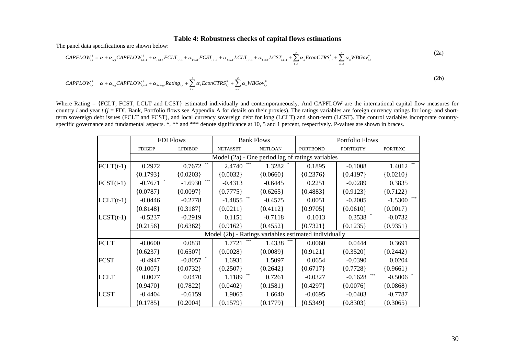#### **Table 4: Robustness checks of capital flows estimations**

The panel data specifications are shown below:

$$
CAPFLOW_{i,t}^i = \alpha + \alpha_{\log} CAPFLOW_{i,t-1}^i + \alpha_{\text{FCLT}_{i,t-1}} + \alpha_{\text{FCST}} FCSI_{i,t-1} + \alpha_{\text{LCLT}} LCLT_{i,t-1} + \alpha_{\text{LCST}} LCST_{i,t-1} + \sum_{k=1}^p \alpha_k EconCTRS_{i,t}^k + \sum_{m=1}^q \alpha_m WBGov_{i,t}^m
$$
\n(2a)

$$
CAPFLOW_{i,t}^j = \alpha + \alpha_{\text{lag}} CAPFLOW_{i,t-1}^j + \alpha_{\text{Ratings}} Rating_{i,t} + \sum_{k=1}^p \alpha_k EconCTRS_{i,t}^k + \sum_{m=1}^q \alpha_m WBGov_{i,t}^m
$$
\n(2b)

Where Rating = {FCLT, FCST, LCLT and LCST} estimated individually and contemporaneously. And CAPFLOW are the international capital flow measures for country *i* and year  $t$  ( $j$  = FDI, Bank, Portfolio flows see Appendix A for details on their proxies). The ratings variables are foreign currency ratings for long- and shortterm sovereign debt issues (FCLT and FCST), and local currency sovereign debt for long (LCLT) and short-term (LCST). The control variables incorporate countryspecific governance and fundamental aspects. \*, \*\* and \*\*\* denote significance at 10, 5 and 1 percent, respectively. P-values are shown in braces.

|                    | <b>FDI Flows</b> |                  |                                                       | <b>Bank Flows</b> |                 | Portfolio Flows |                |  |
|--------------------|------------------|------------------|-------------------------------------------------------|-------------------|-----------------|-----------------|----------------|--|
|                    | <b>FDIGDP</b>    | <b>LFDIBOP</b>   | <b>NETASSET</b>                                       | <b>NETLOAN</b>    | <b>PORTBOND</b> | <b>PORTEOTY</b> | <b>PORTEXC</b> |  |
|                    |                  |                  | Model (2a) - One period lag of ratings variables      |                   |                 |                 |                |  |
| $FCLT(t-1)$        | 0.2972           | 0.7672           | 2.4740                                                | 1.3282            | 0.1895          | $-0.1008$       | 1.4012         |  |
|                    | ${0.1793}$       | ${0.0203}$       | ${0.0032}$                                            | ${0.0660}$        | ${0.2376}$      | ${0.4197}$      | ${0.0210}$     |  |
| $\text{FCST}(t-1)$ | $-0.7671$        | ***<br>$-1.6930$ | $-0.4313$                                             | $-0.6445$         | 0.2251          | $-0.0289$       | 0.3835         |  |
|                    | ${0.0787}$       | ${0.0097}$       | ${0.7775}$                                            | ${0.6265}$        | ${0.4883}$      | ${0.9123}$      | ${0.7122}$     |  |
| $LCLT(t-1)$        | $-0.0446$        | $-0.2778$        | $-1.4855$ **                                          | $-0.4575$         | 0.0051          | $-0.2005$       | $-1.5300$      |  |
|                    | ${0.8148}$       | ${0.3187}$       | ${0.0211}$                                            | ${0.4112}$        | ${0.9705}$      | ${0.0610}$      | ${0.0017}$     |  |
| $LCST(t-1)$        | $-0.5237$        | $-0.2919$        | 0.1151                                                | $-0.7118$         | 0.1013          | $0.3538$ *      | $-0.0732$      |  |
|                    | ${0.2156}$       | ${0.6362}$       | ${0.9162}$                                            | ${0.4552}$        | ${0.7321}$      | ${0.1235}$      | ${0.9351}$     |  |
|                    |                  |                  | Model (2b) - Ratings variables estimated individually |                   |                 |                 |                |  |
| <b>FCLT</b>        | $-0.0600$        | 0.0831           | 1.7721                                                | 1.4338            | 0.0060          | 0.0444          | 0.3691         |  |
|                    | ${0.6237}$       | ${0.6507}$       | ${0.0028}$                                            | ${0.0089}$        | ${0.9121}$      | ${0.3520}$      | ${0.2442}$     |  |
| <b>FCST</b>        | $-0.4947$        | $-0.8057$ *      | 1.6931                                                | 1.5097            | 0.0654          | $-0.0390$       | 0.0204         |  |
|                    | ${0.1007}$       | ${0.0732}$       | ${0.2507}$                                            | ${0.2642}$        | ${0.6717}$      | ${0.7728}$      | ${0.9661}$     |  |
| <b>LCLT</b>        | 0.0077           | 0.0470           | $1.1189$ **                                           | 0.7261            | $-0.0327$       | $-0.1628$       | $-0.5006$ *    |  |
|                    | ${0.9470}$       | ${0.7822}$       | ${0.0402}$                                            | ${0.1581}$        | ${0.4297}$      | ${0.0076}$      | ${0.0868}$     |  |
| <b>LCST</b>        | $-0.4404$        | $-0.6159$        | 1.9065                                                | 1.6640            | $-0.0695$       | $-0.0403$       | $-0.7787$      |  |
|                    | ${0.1785}$       | ${0.2004}$       | ${0.1579}$                                            | ${0.1779}$        | ${0.5349}$      | ${0.8303}$      | ${0.3065}$     |  |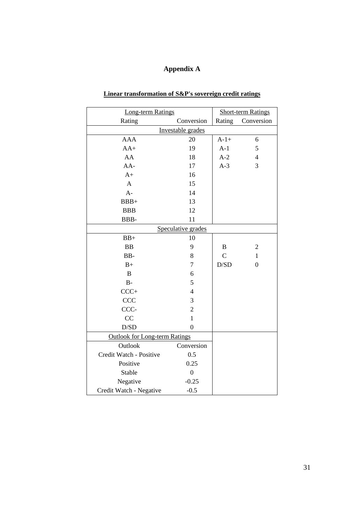## **Appendix A**

| <b>Long-term Ratings</b>             |                    |               | <b>Short-term Ratings</b> |
|--------------------------------------|--------------------|---------------|---------------------------|
| Rating                               | Conversion         | Rating        | Conversion                |
|                                      | Investable grades  |               |                           |
| <b>AAA</b>                           | 20                 | $A-1+$        | 6                         |
| $AA+$                                | 19                 | $A-1$         | 5                         |
| AA                                   | 18                 | $A-2$         | $\overline{4}$            |
| AA-                                  | 17                 | $A-3$         | 3                         |
| $A+$                                 | 16                 |               |                           |
| $\mathbf{A}$                         | 15                 |               |                           |
| $A-$                                 | 14                 |               |                           |
| $BBB+$                               | 13                 |               |                           |
| <b>BBB</b>                           | 12                 |               |                           |
| BBB-                                 | 11                 |               |                           |
|                                      | Speculative grades |               |                           |
| $BB+$                                | 10                 |               |                           |
| <b>BB</b>                            | 9                  | B             | $\overline{2}$            |
| BB-                                  | 8                  | $\mathcal{C}$ | 1                         |
| $B+$                                 | $\overline{7}$     | D/SD          | $\boldsymbol{0}$          |
| $\overline{B}$                       | 6                  |               |                           |
| $B -$                                | 5                  |               |                           |
| $CCC+$                               | $\overline{4}$     |               |                           |
| CCC                                  | 3                  |               |                           |
| CCC-                                 | $\overline{2}$     |               |                           |
| CC                                   | $\mathbf{1}$       |               |                           |
| D/SD                                 | $\mathbf{0}$       |               |                           |
| <b>Outlook for Long-term Ratings</b> |                    |               |                           |
| Outlook                              | Conversion         |               |                           |
| Credit Watch - Positive              | 0.5                |               |                           |
| Positive                             | 0.25               |               |                           |
| Stable                               | $\boldsymbol{0}$   |               |                           |
| Negative                             | $-0.25$            |               |                           |
| Credit Watch - Negative              | $-0.5$             |               |                           |

## **Linear transformation of S&P's sovereign credit ratings**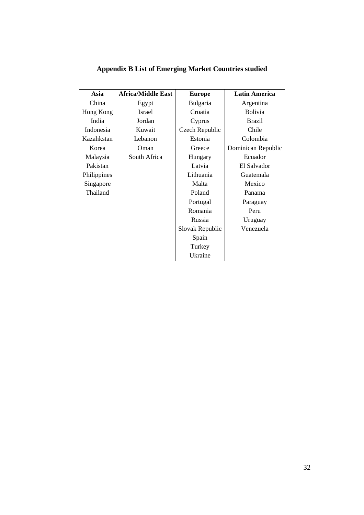| Asia        | <b>Africa/Middle East</b> | <b>Europe</b>   | <b>Latin America</b> |
|-------------|---------------------------|-----------------|----------------------|
| China       | Egypt                     | Bulgaria        | Argentina            |
| Hong Kong   | <b>Israel</b>             | Croatia         | <b>Bolivia</b>       |
| India       | Jordan                    | Cyprus          | Brazil               |
| Indonesia   | Kuwait                    | Czech Republic  | Chile                |
| Kazahkstan  | Lebanon                   | Estonia         | Colombia             |
| Korea       | Oman                      | Greece          | Dominican Republic   |
| Malaysia    | South Africa              | Hungary         | Ecuador              |
| Pakistan    |                           | Latvia          | El Salvador          |
| Philippines |                           | Lithuania       | Guatemala            |
| Singapore   |                           | Malta           | Mexico               |
| Thailand    |                           | Poland          | Panama               |
|             |                           | Portugal        | Paraguay             |
|             |                           | Romania         | Peru                 |
|             |                           | Russia          | Uruguay              |
|             |                           | Slovak Republic | Venezuela            |
|             |                           | Spain           |                      |
|             |                           | Turkey          |                      |
|             |                           | Ukraine         |                      |

| <b>Appendix B List of Emerging Market Countries studied</b> |  |
|-------------------------------------------------------------|--|
|-------------------------------------------------------------|--|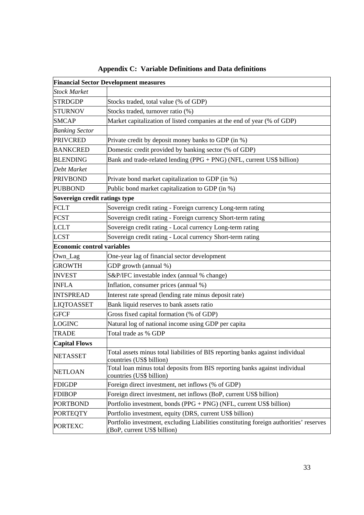|                                   | <b>Financial Sector Development measures</b>                                                                          |
|-----------------------------------|-----------------------------------------------------------------------------------------------------------------------|
| <b>Stock Market</b>               |                                                                                                                       |
| <b>STRDGDP</b>                    | Stocks traded, total value (% of GDP)                                                                                 |
| <b>STURNOV</b>                    | Stocks traded, turnover ratio (%)                                                                                     |
| <b>SMCAP</b>                      | Market capitalization of listed companies at the end of year (% of GDP)                                               |
| <b>Banking Sector</b>             |                                                                                                                       |
| <b>PRIVCRED</b>                   | Private credit by deposit money banks to GDP (in %)                                                                   |
| <b>BANKCRED</b>                   | Domestic credit provided by banking sector (% of GDP)                                                                 |
| <b>BLENDING</b>                   | Bank and trade-related lending (PPG + PNG) (NFL, current US\$ billion)                                                |
| Debt Market                       |                                                                                                                       |
| <b>PRIVBOND</b>                   | Private bond market capitalization to GDP (in %)                                                                      |
| <b>PUBBOND</b>                    | Public bond market capitalization to GDP (in %)                                                                       |
| Sovereign credit ratings type     |                                                                                                                       |
| <b>FCLT</b>                       | Sovereign credit rating - Foreign currency Long-term rating                                                           |
| <b>FCST</b>                       | Sovereign credit rating - Foreign currency Short-term rating                                                          |
| <b>LCLT</b>                       | Sovereign credit rating - Local currency Long-term rating                                                             |
| <b>LCST</b>                       | Sovereign credit rating - Local currency Short-term rating                                                            |
| <b>Economic control variables</b> |                                                                                                                       |
| Own_Lag                           | One-year lag of financial sector development                                                                          |
| <b>GROWTH</b>                     | GDP growth (annual %)                                                                                                 |
| <b>INVEST</b>                     | S&P/IFC investable index (annual % change)                                                                            |
| <b>INFLA</b>                      | Inflation, consumer prices (annual %)                                                                                 |
| <b>INTSPREAD</b>                  | Interest rate spread (lending rate minus deposit rate)                                                                |
| LIQTOASSET                        | Bank liquid reserves to bank assets ratio                                                                             |
| <b>GFCF</b>                       | Gross fixed capital formation (% of GDP)                                                                              |
| LOGINC                            | Natural log of national income using GDP per capita                                                                   |
| <b>TRADE</b>                      | Total trade as % GDP                                                                                                  |
| <b>Capital Flows</b>              |                                                                                                                       |
| <b>NETASSET</b>                   | Total assets minus total liabilities of BIS reporting banks against individual<br>countries (US\$ billion)            |
| <b>NETLOAN</b>                    | Total loan minus total deposits from BIS reporting banks against individual<br>countries (US\$ billion)               |
| <b>FDIGDP</b>                     | Foreign direct investment, net inflows (% of GDP)                                                                     |
| <b>FDIBOP</b>                     | Foreign direct investment, net inflows (BoP, current US\$ billion)                                                    |
| <b>PORTBOND</b>                   | Portfolio investment, bonds (PPG + PNG) (NFL, current US\$ billion)                                                   |
| <b>PORTEQTY</b>                   | Portfolio investment, equity (DRS, current US\$ billion)                                                              |
| <b>PORTEXC</b>                    | Portfolio investment, excluding Liabilities constituting foreign authorities' reserves<br>(BoP, current US\$ billion) |

**Appendix C: Variable Definitions and Data definitions**